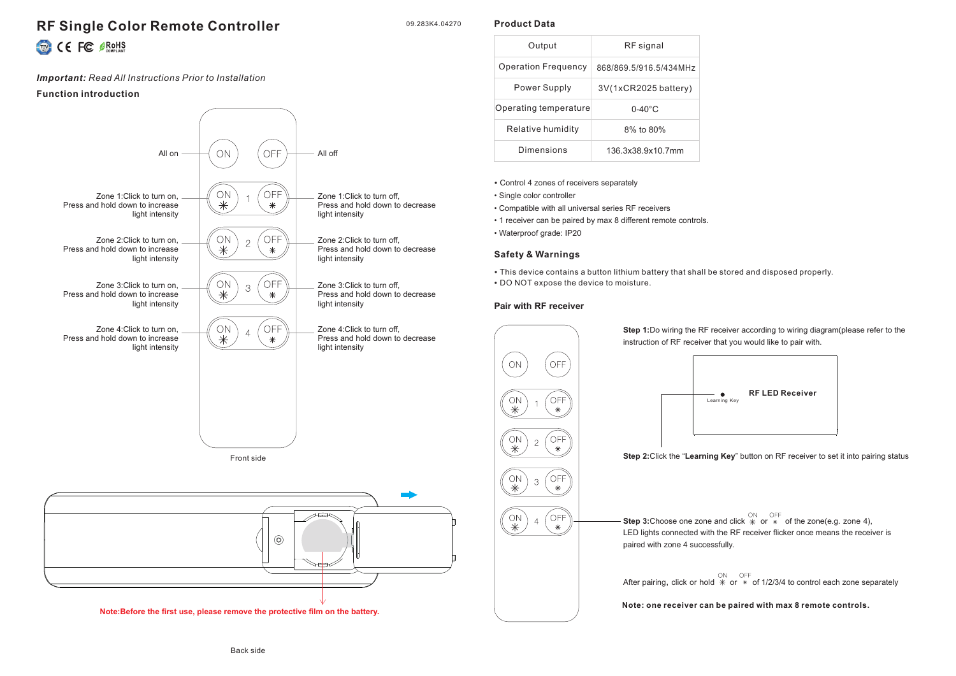# **RF Single Color Remote Controller** CE FC SROHS

#### *Important: Read All Instructions Prior to Installation*

#### **Function introduction**



### **Product Data**

09.283K4.04270

| Output                     | RF signal              |
|----------------------------|------------------------|
| <b>Operation Frequency</b> | 868/869.5/916.5/434MHz |
| Power Supply               | 3V(1xCR2025 battery)   |
| Operating temperature      | $0 - 40^{\circ}$ C     |
| Relative humidity          | 8% to 80%              |
| Dimensions                 | 136 3x38 9x10 7mm      |

- Control 4 zones of receivers separately
- Single color controller
- Compatible with all universal series RF receivers
- 1 receiver can be paired by max 8 different remote controls.
- Waterproof grade: IP20

# **Safety & Warnings**

- This device contains a button lithium battery that shall be stored and disposed properly.
- DO NOT expose the device to moisture.

# **Pair with RF receiver**



**Step 1:**Do wiring the RF receiver according to wiring diagram(please refer to the instruction of RF receiver that you would like to pair with.



**Step 2:**Click the "**Learning Key**" button on RF receiver to set it into pairing status

**Step 3:**Choose one zone and click  $*$  or  $*$  of the zone(e.g. zone 4), LED lights connected with the RF receiver flicker once means the receiver is paired with zone 4 successfully.

After pairing, click or hold  $*$  or  $*$  of 1/2/3/4 to control each zone separately

**Note: one receiver can be paired with max 8 remote controls.**